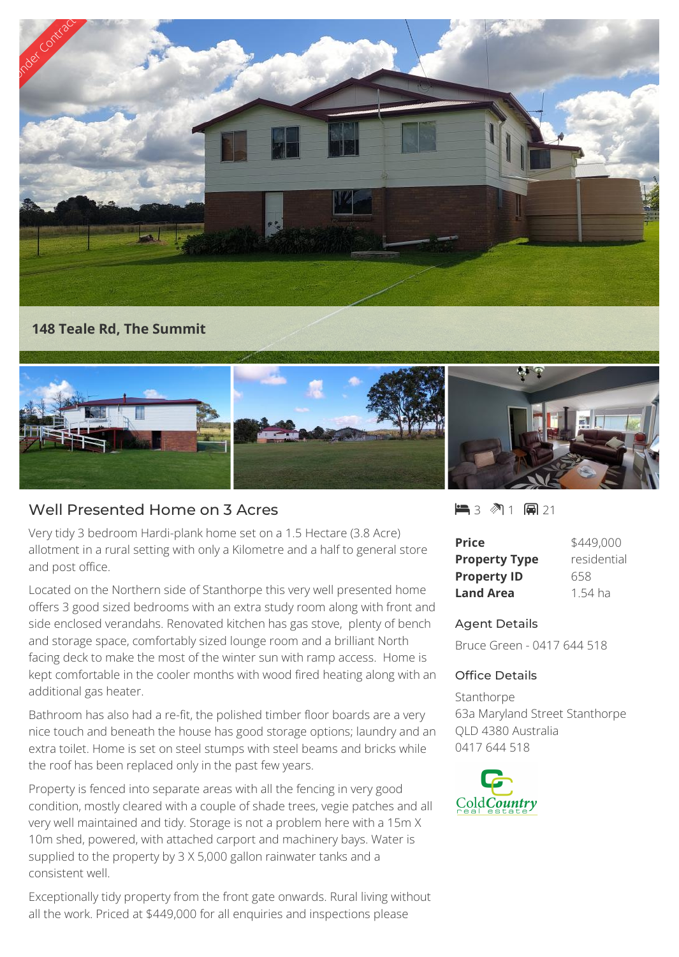

**148 Teale Rd, The Summit**



## Well Presented Home on 3 Acres

Very tidy 3 bedroom Hardi-plank home set on a 1.5 Hectare (3.8 Acre) allotment in a rural setting with only a Kilometre and a half to general store and post office.

Located on the Northern side of Stanthorpe this very well presented home offers 3 good sized bedrooms with an extra study room along with front and side enclosed verandahs. Renovated kitchen has gas stove, plenty of bench and storage space, comfortably sized lounge room and a brilliant North facing deck to make the most of the winter sun with ramp access. Home is kept comfortable in the cooler months with wood fired heating along with an additional gas heater.

Bathroom has also had a re-fit, the polished timber floor boards are a very nice touch and beneath the house has good storage options; laundry and an extra toilet. Home is set on steel stumps with steel beams and bricks while the roof has been replaced only in the past few years.

Property is fenced into separate areas with all the fencing in very good condition, mostly cleared with a couple of shade trees, vegie patches and all very well maintained and tidy. Storage is not a problem here with a 15m X 10m shed, powered, with attached carport and machinery bays. Water is supplied to the property by 3 X 5,000 gallon rainwater tanks and a consistent well.

Exceptionally tidy property from the front gate onwards. Rural living without all the work. Priced at \$449,000 for all enquiries and inspections please

■3 ◎1 圓21

| <b>Price</b>         | \$449,000   |
|----------------------|-------------|
| <b>Property Type</b> | residential |
| <b>Property ID</b>   | 658         |
| <b>Land Area</b>     | 1.54 ha     |

## Agent Details

Bruce Green - 0417 644 518

## Office Details

Stanthorpe 63a Maryland Street Stanthorpe QLD 4380 Australia 0417 644 518